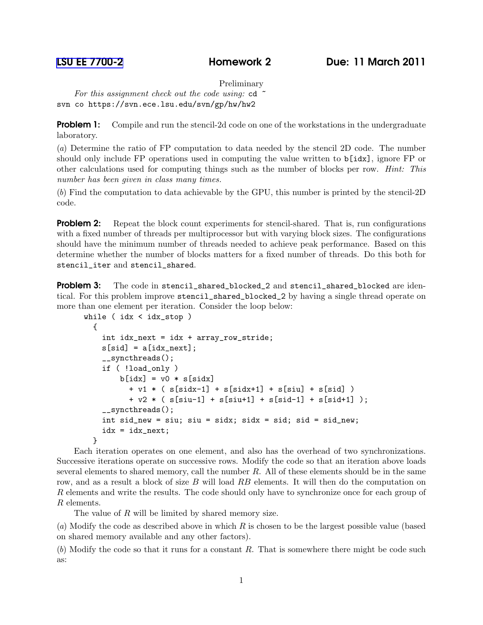Preliminary

*For this assignment check out the code using:* cd ~ svn co https://svn.ece.lsu.edu/svn/gp/hw/hw2

**Problem 1:** Compile and run the stencil-2d code on one of the workstations in the undergraduate laboratory.

(*a*) Determine the ratio of FP computation to data needed by the stencil 2D code. The number should only include FP operations used in computing the value written to b[idx], ignore FP or other calculations used for computing things such as the number of blocks per row. *Hint: This number has been given in class many times.*

(*b*) Find the computation to data achievable by the GPU, this number is printed by the stencil-2D code.

**Problem 2:** Repeat the block count experiments for stencil-shared. That is, run configurations with a fixed number of threads per multiprocessor but with varying block sizes. The configurations should have the minimum number of threads needed to achieve peak performance. Based on this determine whether the number of blocks matters for a fixed number of threads. Do this both for stencil\_iter and stencil\_shared.

**Problem 3:** The code in stencil\_shared\_blocked\_2 and stencil\_shared\_blocked are identical. For this problem improve stencil\_shared\_blocked\_2 by having a single thread operate on more than one element per iteration. Consider the loop below:

```
while ( idx < idx_stop )
  {
    int idx_next = idx + array_row_stride;
    s[sid] = a[idx_new];__syncthreads();
    if ( !load_only )
        b[idx] = v0 * s[sidx]
          + v1 * ( s[sidx-1] + s[sidx+1] + s[siu] + s[sid] )
          + v2 * ( s[siu-1] + s[siu+1] + s[sid-1] + s[sid+1] );
    __syncthreads();
    int sid_new = siu; siu = sidx; sidx = sid; sid = sid_new;
    idx = idx\_next;}
```
Each iteration operates on one element, and also has the overhead of two synchronizations. Successive iterations operate on successive rows. Modify the code so that an iteration above loads several elements to shared memory, call the number  $R$ . All of these elements should be in the same row, and as a result a block of size B will load RB elements. It will then do the computation on R elements and write the results. The code should only have to synchronize once for each group of R elements.

The value of R will be limited by shared memory size.

(*a*) Modify the code as described above in which R is chosen to be the largest possible value (based on shared memory available and any other factors).

(*b*) Modify the code so that it runs for a constant R. That is somewhere there might be code such as: